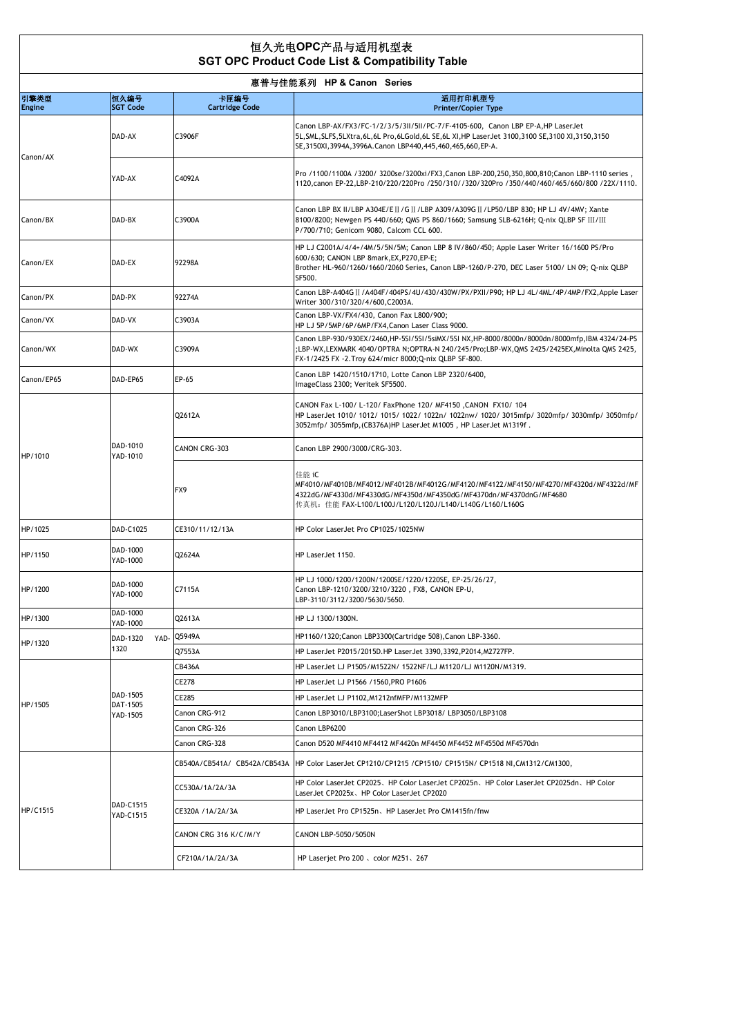## 恒久光电**OPC**产品与适用机型表  **SGT OPC Product Code List & Compatibility Table**

| 惠普与佳能系列 HP & Canon Series |                                  |                               |                                                                                                                                                                                                                                                                  |  |
|---------------------------|----------------------------------|-------------------------------|------------------------------------------------------------------------------------------------------------------------------------------------------------------------------------------------------------------------------------------------------------------|--|
| 引擎类型<br>Engine            | 恒久编号<br><b>SGT Code</b>          | 卡匣编号<br><b>Cartridge Code</b> | 适用打印机型号<br><b>Printer/Copier Type</b>                                                                                                                                                                                                                            |  |
| Canon/AX                  | DAD-AX                           | C3906F                        | Canon LBP-AX/FX3/FC-1/2/3/5/3ll/5ll/PC-7/F-4105-600, Canon LBP EP-A, HP LaserJet<br>5L, SML, SLFS, 5LXtra, 6L, 6L Pro, 6LGold, 6L SE, 6L XI, HP LaserJet 3100, 3100 SE, 3100 XI, 3150, 3150<br>SE, 3150XI, 3994A, 3996A. Canon LBP440, 445, 460, 465, 660, EP-A. |  |
|                           | YAD-AX                           | C4092A                        | , Pro /1100/1100A /3200/ 3200se/3200xi/FX3, Canon LBP-200, 250, 350, 800, 810; Canon LBP-1110 series<br>1120, canon EP-22, LBP-210/220/220Pro /250/310//320/320Pro /350/440/460/465/660/800 /22X/1110.                                                           |  |
| Canon/BX                  | DAD-BX                           | C3900A                        | Canon LBP BX II/LBP A304E/EII /GII/LBP A309/A309GII/LP50/LBP 830; HP LJ 4V/4MV; Xante<br>8100/8200; Newgen PS 440/660; QMS PS 860/1660; Samsung SLB-6216H; Q-nix QLBP SF III/III<br>P/700/710; Genicom 9080, Calcom CCL 600.                                     |  |
| Canon/EX                  | DAD-EX                           | 92298A                        | HP LJ C2001A/4/4+/4M/5/5N/5M; Canon LBP 8 IV/860/450; Apple Laser Writer 16/1600 PS/Pro<br>600/630; CANON LBP 8mark, EX, P270, EP-E;<br>Brother HL-960/1260/1660/2060 Series, Canon LBP-1260/P-270, DEC Laser 5100/ LN 09; Q-nix QLBP<br>SF500.                  |  |
| Canon/PX                  | DAD-PX                           | 92274A                        | Canon LBP-A404G II / A404F/404PS/4U/430/430W/PX/PXII/P90; HP LJ 4L/4ML/4P/4MP/FX2, Apple Laser<br>Writer 300/310/320/4/600, C2003A.                                                                                                                              |  |
| Canon/VX                  | DAD-VX                           | C3903A                        | Canon LBP-VX/FX4/430, Canon Fax L800/900;<br>HP LJ 5P/5MP/6P/6MP/FX4, Canon Laser Class 9000.                                                                                                                                                                    |  |
| Canon/WX                  | DAD-WX                           | C3909A                        | Canon LBP-930/930EX/2460, HP-5SI/5SI/5siMX/5SI NX, HP-8000/8000n/8000dn/8000mfp, IBM 4324/24-PS<br>;LBP-WX,LEXMARK 4040/OPTRA N;OPTRA-N 240/245/Pro;LBP-WX,QMS 2425/2425EX,Minolta QMS 2425,<br>FX-1/2425 FX -2. Troy 624/micr 8000; Q-nix QLBP SF-800.          |  |
| Canon/EP65                | DAD-EP65                         | EP-65                         | Canon LBP 1420/1510/1710, Lotte Canon LBP 2320/6400,<br>ImageClass 2300; Veritek SF5500.                                                                                                                                                                         |  |
| HP/1010                   | DAD-1010<br>YAD-1010             | Q2612A                        | CANON Fax L-100/ L-120/ FaxPhone 120/ MF4150, CANON FX10/ 104<br>HP LaserJet 1010/ 1012/ 1015/ 1022/ 1022n/ 1022nw/ 1020/ 3015mfp/ 3020mfp/ 3030mfp/ 3050mfp/<br>3052mfp/ 3055mfp, (CB376A)HP LaserJet M1005, HP LaserJet M1319f.                                |  |
|                           |                                  | CANON CRG-303                 | Canon LBP 2900/3000/CRG-303.                                                                                                                                                                                                                                     |  |
|                           |                                  | FX9                           | 佳能 iC<br>MF4010/MF4010B/MF4012/MF4012B/MF4012G/MF4120/MF4122/MF4150/MF4270/MF4320d/MF4322d/MF<br>4322dG/MF4330d/MF4330dG/MF4350d/MF4350dG/MF4370dn/MF4370dnG/MF4680<br>传真机: 佳能 FAX-L100/L100J/L120/L120J/L140/L140G/L160/L160G                                   |  |
| HP/1025                   | DAD-C1025                        | CE310/11/12/13A               | HP Color LaserJet Pro CP1025/1025NW                                                                                                                                                                                                                              |  |
| HP/1150                   | DAD-1000<br>YAD-1000             | Q2624A                        | HP LaserJet 1150.                                                                                                                                                                                                                                                |  |
| HP/1200                   | DAD-1000<br>YAD-1000             | C7115A                        | HP LJ 1000/1200/1200N/1200SE/1220/1220SE, EP-25/26/27,<br>Canon LBP-1210/3200/3210/3220, FX8, CANON EP-U,<br>LBP-3110/3112/3200/5630/5650.                                                                                                                       |  |
| HP/1300                   | DAD-1000<br>YAD-1000             | Q2613A                        | HP LJ 1300/1300N.                                                                                                                                                                                                                                                |  |
| HP/1320                   | DAD-1320<br>YAD-                 | Q5949A                        | HP1160/1320; Canon LBP3300(Cartridge 508), Canon LBP-3360.                                                                                                                                                                                                       |  |
|                           | 1320                             | Q7553A                        | HP LaserJet P2015/2015D.HP LaserJet 3390,3392,P2014,M2727FP.                                                                                                                                                                                                     |  |
| HP/1505                   |                                  | CB436A                        | HP LaserJet LJ P1505/M1522N/ 1522NF/LJ M1120/LJ M1120N/M1319.                                                                                                                                                                                                    |  |
|                           | DAD-1505<br>DAT-1505<br>YAD-1505 | CE278                         | HP LaserJet LJ P1566 /1560, PRO P1606                                                                                                                                                                                                                            |  |
|                           |                                  | CE285                         | HP LaserJet LJ P1102, M1212nfMFP/M1132MFP                                                                                                                                                                                                                        |  |
|                           |                                  | Canon CRG-912                 | Canon LBP3010/LBP3100;LaserShot LBP3018/ LBP3050/LBP3108                                                                                                                                                                                                         |  |
|                           |                                  | Canon CRG-326                 | Canon LBP6200                                                                                                                                                                                                                                                    |  |
|                           |                                  | Canon CRG-328                 | Canon D520 MF4410 MF4412 MF4420n MF4450 MF4452 MF4550d MF4570dn                                                                                                                                                                                                  |  |
| HP/C1515                  | DAD-C1515<br>YAD-C1515           | CB540A/CB541A/ CB542A/CB543A  | HP Color LaserJet CP1210/CP1215 /CP1510/ CP1515N/ CP1518 NI, CM1312/CM1300,                                                                                                                                                                                      |  |
|                           |                                  | CC530A/1A/2A/3A               | HP Color LaserJet CP2025、HP Color LaserJet CP2025n、HP Color LaserJet CP2025dn、HP Color<br>LaserJet CP2025x、HP Color LaserJet CP2020                                                                                                                              |  |
|                           |                                  | CE320A /1A/2A/3A              | HP LaserJet Pro CP1525n、HP LaserJet Pro CM1415fn/fnw                                                                                                                                                                                                             |  |
|                           |                                  | CANON CRG 316 K/C/M/Y         | CANON LBP-5050/5050N                                                                                                                                                                                                                                             |  |
|                           |                                  | CF210A/1A/2A/3A               | HP Laserjet Pro 200 、color M251、267                                                                                                                                                                                                                              |  |
|                           |                                  |                               |                                                                                                                                                                                                                                                                  |  |